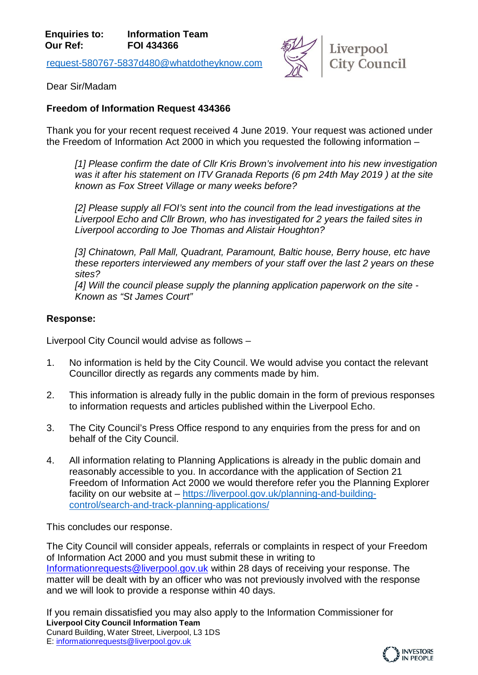[request-580767-5837d480@whatdotheyknow.com](mailto:xxxxxxxxxxxxxxxxxxxxxxx@xxxxxxxxxxxxxx.xxx)



Dear Sir/Madam

## **Freedom of Information Request 434366**

Thank you for your recent request received 4 June 2019. Your request was actioned under the Freedom of Information Act 2000 in which you requested the following information –

*[1] Please confirm the date of Cllr Kris Brown's involvement into his new investigation was it after his statement on ITV Granada Reports (6 pm 24th May 2019 ) at the site known as Fox Street Village or many weeks before?*

*[2] Please supply all FOI's sent into the council from the lead investigations at the Liverpool Echo and Cllr Brown, who has investigated for 2 years the failed sites in Liverpool according to Joe Thomas and Alistair Houghton?*

*[3] Chinatown, Pall Mall, Quadrant, Paramount, Baltic house, Berry house, etc have these reporters interviewed any members of your staff over the last 2 years on these sites?*

*[4] Will the council please supply the planning application paperwork on the site - Known as "St James Court"*

## **Response:**

Liverpool City Council would advise as follows –

- 1. No information is held by the City Council. We would advise you contact the relevant Councillor directly as regards any comments made by him.
- 2. This information is already fully in the public domain in the form of previous responses to information requests and articles published within the Liverpool Echo.
- 3. The City Council's Press Office respond to any enquiries from the press for and on behalf of the City Council.
- 4. All information relating to Planning Applications is already in the public domain and reasonably accessible to you. In accordance with the application of Section 21 Freedom of Information Act 2000 we would therefore refer you the Planning Explorer facility on our website at – [https://liverpool.gov.uk/planning-and-building](https://liverpool.gov.uk/planning-and-building-control/search-and-track-planning-applications/)[control/search-and-track-planning-applications/](https://liverpool.gov.uk/planning-and-building-control/search-and-track-planning-applications/)

This concludes our response.

The City Council will consider appeals, referrals or complaints in respect of your Freedom of Information Act 2000 and you must submit these in writing to [Informationrequests@liverpool.gov.uk](mailto:xxxxxxxxxxxxxxxxxxx@xxxxxxxxx.xxx.xx) within 28 days of receiving your response. The matter will be dealt with by an officer who was not previously involved with the response and we will look to provide a response within 40 days.

**Liverpool City Council Information Team** Cunard Building, Water Street, Liverpool, L3 1DS E: [informationrequests@liverpool.gov.uk](mailto:xxxxxxxxxxxxxxxxxxx@xxxxxxxxx.xxx.xx) If you remain dissatisfied you may also apply to the Information Commissioner for